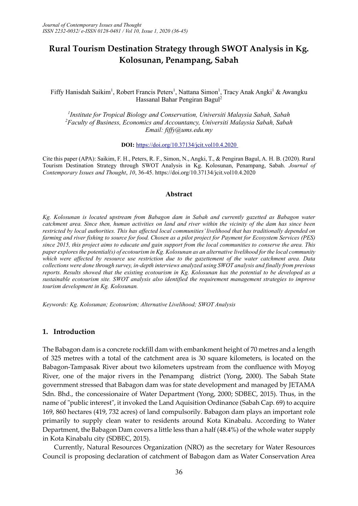# **Rural Tourism Destination Strategy through SWOT Analysis in Kg. Kolosunan, Penampang, Sabah**

Fiffy Hanisdah Saikim<sup>1</sup>, Robert Francis Peters<sup>1</sup>, Nattana Simon<sup>1</sup>, Tracy Anak Angki<sup>1</sup> & Awangku Hassanal Bahar Pengiran Bagul<sup>2</sup>

*1 Institute for Tropical Biology and Conservation, Universiti Malaysia Sabah, Sabah <sup>2</sup>Faculty of Business, Economics and Accountancy, Universiti Malaysia Sabah, Sabah Email: fiffy@ums.edu.my*

**DOI:** <https://doi.org/10.37134/jcit.vol10.4.2020>

Cite this paper (APA): Saikim, F. H., Peters, R. F., Simon, N., Angki, T., & Pengiran Bagul, A. H. B. (2020). Rural Tourism Destination Strategy through SWOT Analysis in Kg. Kolosunan, Penampang, Sabah. *Journal of Contemporary Issues and Thought*, *10*, 36-45. https://doi.org/10.37134/jcit.vol10.4.2020

#### **Abstract**

*Kg. Kolosunan is located upstream from Babagon dam in Sabah and currently gazetted as Babagon water catchment area. Since then, human activities on land and river within the vicinity of the dam has since been restricted by local authorities. This has affected local communities' livelihood that has traditionally depended on farming and river fishing to source for food. Chosen as a pilot project for Payment for Ecosystem Services (PES) since 2015, this project aims to educate and gain support from the local communities to conserve the area. This paper exploresthe potential(s) of ecotourism in Kg. Kolosunan as an alternative livelihood for the local community which were affected by resource use restriction due to the gazettement of the water catchment area. Data collections were done through survey, in-depth interviews analyzed using SWOT analysis and finally from previous reports. Results showed that the existing ecotourism in Kg. Kolosunan has the potential to be developed as a sustainable ecotourism site. SWOT analysis also identified the requirement management strategies to improve tourism development in Kg. Kolosunan.* 

*Keywords: Kg. Kolosunan; Ecotourism; Alternative Livelihood; SWOT Analysis*

### **1. Introduction**

The Babagon dam is a concrete rockfill dam with embankment height of 70 metres and a length of 325 metres with a total of the catchment area is 30 square kilometers, is located on the Babagon-Tampasak River about two kilometers upstream from the confluence with Moyog River, one of the major rivers in the Penampang district (Yong, 2000). The Sabah State government stressed that Babagon dam was for state development and managed by JETAMA Sdn. Bhd., the concessionaire of Water Department (Yong, 2000; SDBEC, 2015). Thus, in the name of "public interest", it invoked the Land Aquisition Ordinance (Sabah Cap. 69) to acquire 169, 860 hectares (419, 732 acres) of land compulsorily. Babagon dam plays an important role primarily to supply clean water to residents around Kota Kinabalu. According to Water Department, the Babagon Dam covers a little less than a half (48.4%) of the whole water supply in Kota Kinabalu city (SDBEC, 2015).

Currently, Natural Resources Organization (NRO) as the secretary for Water Resources Council is proposing declaration of catchment of Babagon dam as Water Conservation Area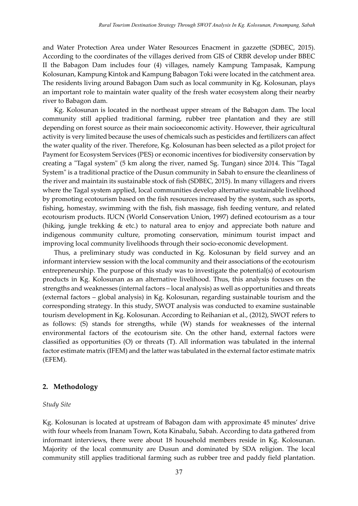and Water Protection Area under Water Resources Enacment in gazzette (SDBEC, 2015). According to the coordinates of the villages derived from GIS of CRBR develop under BBEC II the Babagon Dam includes four (4) villages, namely Kampung Tampasak, Kampung Kolosunan, Kampung Kintok and Kampung Babagon Toki were located in the catchment area. The residents living around Babagon Dam such as local community in Kg. Kolosunan, plays an important role to maintain water quality of the fresh water ecosystem along their nearby river to Babagon dam.

Kg. Kolosunan is located in the northeast upper stream of the Babagon dam. The local community still applied traditional farming, rubber tree plantation and they are still depending on forest source as their main socioeconomic activity. However, their agricultural activity is very limited because the uses of chemicals such as pesticides and fertilizers can affect the water quality of the river. Therefore, Kg. Kolosunan has been selected as a pilot project for Payment for Ecosystem Services (PES) or economic incentives for biodiversity conservation by creating a "Tagal system" (5 km along the river, named Sg. Tungan) since 2014. This "Tagal System" is a traditional practice of the Dusun community in Sabah to ensure the cleanliness of the river and maintain its sustainable stock of fish (SDBEC, 2015). In many villagers and rivers where the Tagal system applied, local communities develop alternative sustainable livelihood by promoting ecotourism based on the fish resources increased by the system, such as sports, fishing, homestay, swimming with the fish, fish massage, fish feeding venture, and related ecotourism products. IUCN (World Conservation Union, 1997) defined ecotourism as a tour (hiking, jungle trekking & etc.) to natural area to enjoy and appreciate both nature and indigenous community culture, promoting conservation, minimum tourist impact and improving local community livelihoods through their socio-economic development.

Thus, a preliminary study was conducted in Kg. Kolosunan by field survey and an informant interview session with the local community and their associations of the ecotourism entrepreneurship. The purpose of this study was to investigate the potential(s) of ecotourism products in Kg. Kolosunan as an alternative livelihood. Thus, this analysis focuses on the strengths and weaknesses (internal factors – local analysis) as well as opportunities and threats (external factors – global analysis) in Kg. Kolosunan, regarding sustainable tourism and the corresponding strategy. In this study, SWOT analysis was conducted to examine sustainable tourism development in Kg. Kolosunan. According to Reihanian et al., (2012), SWOT refers to as follows: (S) stands for strengths, while (W) stands for weaknesses of the internal environmental factors of the ecotourism site. On the other hand, external factors were classified as opportunities (O) or threats (T). All information was tabulated in the internal factor estimate matrix (IFEM) and the latter was tabulated in the external factor estimate matrix (EFEM).

### **2. Methodology**

#### *Study Site*

Kg. Kolosunan is located at upstream of Babagon dam with approximate 45 minutes' drive with four wheels from Inanam Town, Kota Kinabalu, Sabah. According to data gathered from informant interviews, there were about 18 household members reside in Kg. Kolosunan. Majority of the local community are Dusun and dominated by SDA religion. The local community still applies traditional farming such as rubber tree and paddy field plantation.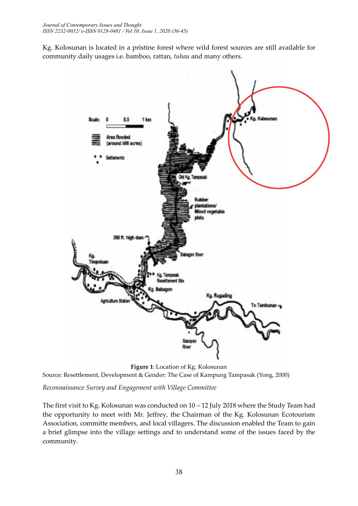Kg. Kolosunan is located in a pristine forest where wild forest sources are still available for community daily usages i.e. bamboo, rattan, *tuhau* and many others.



**Figure 1**: Location of Kg. Kolosunan Source: Resettlement, Development & Gender: The Case of Kampung Tampasak (Yong, 2000)

*Reconnaissance Survey and Engagement with Village Committee*

The first visit to Kg. Kolosunan was conducted on 10 – 12 July 2018 where the Study Team had the opportunity to meet with Mr. Jeffrey, the Chairman of the Kg. Kolosunan Ecotourism Association, committe members, and local villagers. The discussion enabled the Team to gain a brief glimpse into the village settings and to understand some of the issues faced by the community.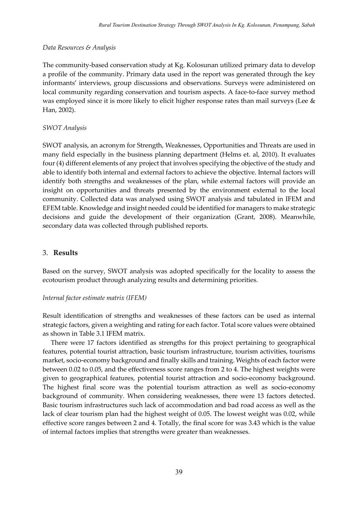# *Data Resources & Analysis*

The community-based conservation study at Kg. Kolosunan utilized primary data to develop a profile of the community. Primary data used in the report was generated through the key informants' interviews, group discussions and observations. Surveys were administered on local community regarding conservation and tourism aspects. A face-to-face survey method was employed since it is more likely to elicit higher response rates than mail surveys (Lee & Han, 2002).

# *SWOT Analysis*

SWOT analysis, an acronym for Strength, Weaknesses, Opportunities and Threats are used in many field especially in the business planning department (Helms et. al, 2010). It evaluates four (4) different elements of any project that involves specifying the objective of the study and able to identify both internal and external factors to achieve the objective. Internal factors will identify both strengths and weaknesses of the plan, while external factors will provide an insight on opportunities and threats presented by the environment external to the local community. Collected data was analysed using SWOT analysis and tabulated in IFEM and EFEM table. Knowledge and insight needed could be identified for managers to make strategic decisions and guide the development of their organization (Grant, 2008). Meanwhile, secondary data was collected through published reports.

# 3. **Results**

Based on the survey, SWOT analysis was adopted specifically for the locality to assess the ecotourism product through analyzing results and determining priorities.

# *Internal factor estimate matrix (IFEM)*

Result identification of strengths and weaknesses of these factors can be used as internal strategic factors, given a weighting and rating for each factor. Total score values were obtained as shown in Table 3.1 IFEM matrix.

There were 17 factors identified as strengths for this project pertaining to geographical features, potential tourist attraction, basic tourism infrastructure, tourism activities, tourisms market, socio-economy background and finally skills and training. Weights of each factor were between 0.02 to 0.05, and the effectiveness score ranges from 2 to 4. The highest weights were given to geographical features, potential tourist attraction and socio-economy background. The highest final score was the potential tourism attraction as well as socio-economy background of community. When considering weaknesses, there were 13 factors detected. Basic tourism infrastructures such lack of accommodation and bad road access as well as the lack of clear tourism plan had the highest weight of 0.05. The lowest weight was 0.02, while effective score ranges between 2 and 4. Totally, the final score for was 3.43 which is the value of internal factors implies that strengths were greater than weaknesses.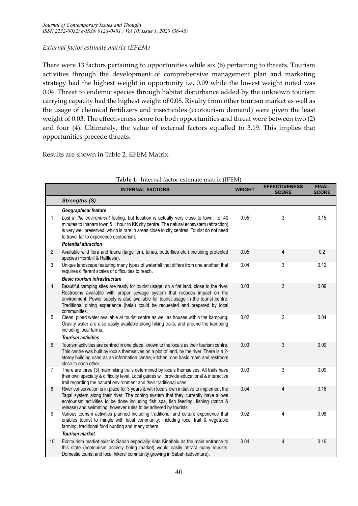# *External factor estimate matrix (EFEM)*

There were 13 factors pertaining to opportunities while six (6) pertaining to threats. Tourism activities through the development of comprehensive management plan and marketing strategy had the highest weight in opportunity i.e. 0.09 while the lowest weight noted was 0.04. Threat to endemic species through habitat disturbance added by the unknown tourism carrying capacity had the highest weight of 0.08. Rivalry from other tourism market as well as the usage of chemical fertilizers and insecticides (ecotourism demand) were given the least weight of 0.03. The effectiveness score for both opportunities and threat were between two (2) and four (4). Ultimately, the value of external factors equalled to 3.19. This implies that opportunities precede threats.

Results are shown in Table 2, EFEM Matrix.

|                | <b>INTERNAL FACTORS</b>                                                                                                                                                                                                                                                                                                                                        | <b>WEIGHT</b> | <b>EFFECTIVENESS</b><br><b>SCORE</b> | <b>FINAL</b><br><b>SCORE</b> |
|----------------|----------------------------------------------------------------------------------------------------------------------------------------------------------------------------------------------------------------------------------------------------------------------------------------------------------------------------------------------------------------|---------------|--------------------------------------|------------------------------|
|                | <b>Strengths (S)</b>                                                                                                                                                                                                                                                                                                                                           |               |                                      |                              |
|                | Geographical feature                                                                                                                                                                                                                                                                                                                                           |               |                                      |                              |
| 1              | Lost in the environment feeling, but location is actually very close to town; i.e. 40<br>minutes to Inanam town & 1 hour to KK city centre. The natural ecosystem (attraction)<br>is very well preserved, which is rare in areas close to city centres. Tourist do not need<br>to travel far to experience ecotourism.                                         | 0.05          | 3                                    | 0.15                         |
|                | <b>Potential attraction</b>                                                                                                                                                                                                                                                                                                                                    |               |                                      |                              |
| $\overline{2}$ | Available wild flora and fauna (large fern, tuhau, butterflies etc.) including protected<br>species (Hornbill & Rafflesia).                                                                                                                                                                                                                                    | 0.05          | 4                                    | 0.2                          |
| 3              | Unique landscape featuring many types of waterfall that differs from one another, that<br>requires different scales of difficulties to reach.                                                                                                                                                                                                                  | 0.04          | 3                                    | 0.12                         |
|                | <b>Basic tourism infrastructure</b>                                                                                                                                                                                                                                                                                                                            |               |                                      |                              |
| 4              | Beautiful camping sites are ready for tourist usage; on a flat land, close to the river.<br>Restrooms available with proper sewage system that reduces impact on the<br>environment. Power supply is also available for tourist usage in the tourist centre.<br>Traditional dining experience (halal) could be requested and prepared by local<br>communities. | 0.03          | 3                                    | 0.09                         |
| 5              | Clean, piped water available at tourist centre as well as houses within the kampung.<br>Gravity water are also easily available along hiking trails, and around the kampung<br>including local farms.                                                                                                                                                          | 0.02          | $\overline{2}$                       | 0.04                         |
|                | <b>Tourism activities</b>                                                                                                                                                                                                                                                                                                                                      |               |                                      |                              |
| 6              | Tourism activities are centred in one place, known to the locals as their tourism centre.<br>This centre was built by locals themselves on a plot of land, by the river. There is a 2-<br>storey building used as an information centre, kitchen, one basic room and restroom<br>close to each other.                                                          | 0.03          | 3                                    | 0.09                         |
| 7              | There are three (3) main hiking trails determined by locals themselves. All trails have<br>their own specialty & difficulty level. Local guides will provide educational & interactive<br>trail regarding the natural environment and their traditional uses.                                                                                                  | 0.03          | 3                                    | 0.09                         |
| 8              | River conservation is in place for 3 years & with locals own initiative to implement the<br>Tagal system along their river. The zoning system that they currently have allows<br>ecotourism activities to be done including fish spa, fish feeding, fishing (catch &<br>release) and swimming; however rules to be adhered by tourists.                        | 0.04          | 4                                    | 0.16                         |
| 9              | Various tourism activities planned including traditional and culture experience that<br>enables tourist to mingle with local community; including local fruit & vegetable<br>farming, traditional food hunting and many others.                                                                                                                                | 0.02          | 4                                    | 0.08                         |
|                | <b>Tourism market</b>                                                                                                                                                                                                                                                                                                                                          |               |                                      |                              |
| 10             | Ecotourism market exist in Sabah especially Kota Kinabalu as the main entrance to<br>this state (ecotourism actively being market) would easily attract many tourists.<br>Domestic tourist and local hikers' community growing in Sabah (adventure).                                                                                                           | 0.04          | 4                                    | 0.16                         |

|  |  | Table 1: Internal factor estimate matrix (IFEM) |  |
|--|--|-------------------------------------------------|--|
|--|--|-------------------------------------------------|--|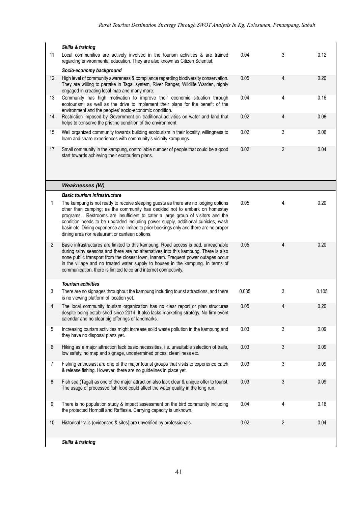|                | <b>Skills &amp; training</b>                                                                                                                                                                                                                                                                                                                                                                                                                                                          |       |                |       |
|----------------|---------------------------------------------------------------------------------------------------------------------------------------------------------------------------------------------------------------------------------------------------------------------------------------------------------------------------------------------------------------------------------------------------------------------------------------------------------------------------------------|-------|----------------|-------|
| 11             | Local communities are actively involved in the tourism activities & are trained<br>regarding environmental education. They are also known as Citizen Scientist.                                                                                                                                                                                                                                                                                                                       | 0.04  | 3              | 0.12  |
|                | Socio-economy background                                                                                                                                                                                                                                                                                                                                                                                                                                                              |       |                |       |
| 12             | High level of community awareness & compliance regarding biodiversity conservation.<br>They are willing to partake in Tagal system, River Ranger, Wildlife Warden, highly<br>engaged in creating local map and many more.                                                                                                                                                                                                                                                             | 0.05  | 4              | 0.20  |
| 13             | Community has high motivation to improve their economic situation through<br>ecotourism; as well as the drive to implement their plans for the benefit of the<br>environment and the peoples' socio-economic condition.                                                                                                                                                                                                                                                               | 0.04  | 4              | 0.16  |
| 14             | Restriction imposed by Government on traditional activities on water and land that<br>helps to conserve the pristine condition of the environment.                                                                                                                                                                                                                                                                                                                                    | 0.02  | 4              | 0.08  |
| 15             | Well organized community towards building ecotourism in their locality, willingness to<br>learn and share experiences with community's vicinity kampungs.                                                                                                                                                                                                                                                                                                                             | 0.02  | 3              | 0.06  |
| 17             | Small community in the kampung, controllable number of people that could be a good<br>start towards achieving their ecotourism plans.                                                                                                                                                                                                                                                                                                                                                 | 0.02  | $\overline{2}$ | 0.04  |
|                | <b>Weaknesses (W)</b>                                                                                                                                                                                                                                                                                                                                                                                                                                                                 |       |                |       |
|                | <b>Basic tourism infrastructure</b>                                                                                                                                                                                                                                                                                                                                                                                                                                                   |       |                |       |
| 1              | The kampung is not ready to receive sleeping guests as there are no lodging options<br>other than camping; as the community has decided not to embark on homestay<br>programs. Restrooms are insufficient to cater a large group of visitors and the<br>condition needs to be upgraded including power supply, additional cubicles, wash<br>basin etc. Dining experience are limited to prior bookings only and there are no proper<br>dining area nor restaurant or canteen options. | 0.05  | 4              | 0.20  |
| $\overline{2}$ | Basic infrastructures are limited to this kampung. Road access is bad, unreachable<br>during rainy seasons and there are no alternatives into this kampung. There is also<br>none public transport from the closest town, Inanam. Frequent power outages occur<br>in the village and no treated water supply to houses in the kampung. In terms of<br>communication, there is limited telco and internet connectivity.                                                                | 0.05  | 4              | 0.20  |
|                | <b>Tourism activities</b>                                                                                                                                                                                                                                                                                                                                                                                                                                                             |       |                |       |
| 3              | There are no signages throughout the kampung including tourist attractions, and there<br>is no viewing platform of location yet.                                                                                                                                                                                                                                                                                                                                                      | 0.035 | 3              | 0.105 |
| 4              | The local community tourism organization has no clear report or plan structures<br>despite being established since 2014. It also lacks marketing strategy. No firm event<br>calendar and no clear big offerings or landmarks.                                                                                                                                                                                                                                                         | 0.05  | 4              | 0.20  |
| 5              | Increasing tourism activities might increase solid waste pollution in the kampung and<br>they have no disposal plans yet.                                                                                                                                                                                                                                                                                                                                                             | 0.03  | 3              | 0.09  |
| 6              | Hiking as a major attraction lack basic necessities, i.e. unsuitable selection of trails,<br>low safety, no map and signage, undetermined prices, cleanliness etc.                                                                                                                                                                                                                                                                                                                    | 0.03  | 3              | 0.09  |
| $\overline{7}$ | Fishing enthusiast are one of the major tourist groups that visits to experience catch<br>& release fishing. However, there are no guidelines in place yet.                                                                                                                                                                                                                                                                                                                           | 0.03  | 3              | 0.09  |
| 8              | Fish spa (Tagal) as one of the major attraction also lack clear & unique offer to tourist.<br>The usage of processed fish food could affect the water quality in the long run.                                                                                                                                                                                                                                                                                                        | 0.03  | 3              | 0.09  |
| 9              | There is no population study & impact assessment on the bird community including<br>the protected Hornbill and Rafflesia. Carrying capacity is unknown.                                                                                                                                                                                                                                                                                                                               | 0.04  | 4              | 0.16  |
| 10             | Historical trails (evidences & sites) are unverified by professionals.                                                                                                                                                                                                                                                                                                                                                                                                                | 0.02  | 2              | 0.04  |
|                | <b>Skills &amp; training</b>                                                                                                                                                                                                                                                                                                                                                                                                                                                          |       |                |       |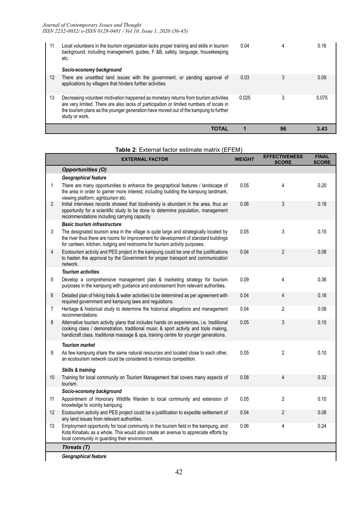| 11 | Local volunteers in the tourism organization lacks proper training and skills in tourism<br>background, including management, guides, F &B, safety, language, housekeeping<br>etc.<br>Socio-economy background                                                                            | 0.04  |    | 0.16  |
|----|-------------------------------------------------------------------------------------------------------------------------------------------------------------------------------------------------------------------------------------------------------------------------------------------|-------|----|-------|
| 12 | There are unsettled land issues with the government, or pending approval of<br>applications by villagers that hinders further activities.                                                                                                                                                 | 0.03  |    | 0.09  |
| 13 | Decreasing volunteer motivation happened as monetary returns from tourism activities<br>are very limited. There are also lacks of participation or limited numbers of locals in<br>the tourism plans as the younger generation have moved out of the kampung to further<br>study or work. | 0.025 | 3  | 0.075 |
|    | <b>TOTAL</b>                                                                                                                                                                                                                                                                              |       | 96 | 3.43  |

## **Table 2**: External factor estimate matrix (EFEM)

|                   | <b>EXTERNAL FACTOR</b>                                                                                                                                                                                                                                                  | <b>WEIGHT</b> | <b>EFFECTIVENESS</b><br><b>SCORE</b> | <b>FINAL</b><br><b>SCORE</b> |
|-------------------|-------------------------------------------------------------------------------------------------------------------------------------------------------------------------------------------------------------------------------------------------------------------------|---------------|--------------------------------------|------------------------------|
|                   | <b>Opportunities (O)</b>                                                                                                                                                                                                                                                |               |                                      |                              |
|                   | Geographical feature                                                                                                                                                                                                                                                    |               |                                      |                              |
| 1                 | There are many opportunities to enhance the geographical features / landscape of<br>the area in order to garner more interest; including building the kampung landmark,<br>viewing platform; agritourism etc.                                                           | 0.05          | 4                                    | 0.20                         |
| $\overline{2}$    | Initial interviews records showed that biodiversity is abundant in the area, thus an<br>opportunity for a scientific study to be done to determine population, management<br>recommendations including carrying capacity.                                               | 0.06          | 3                                    | 0.18                         |
|                   | <b>Basic tourism infrastructure</b>                                                                                                                                                                                                                                     |               |                                      |                              |
| 3                 | The designated tourism area in the village is quite large and strategically located by<br>the river thus there are rooms for improvement for development of standard buildings<br>for canteen, kitchen, lodging and restrooms for tourism activity purposes.            | 0.05          | 3                                    | 0.15                         |
| 4                 | Ecotourism activity and PES project in the kampung could be one of the justifications<br>to hasten the approval by the Government for proper transport and communication<br>network.                                                                                    | 0.04          | $\overline{2}$                       | 0.08                         |
|                   | <b>Tourism activities</b>                                                                                                                                                                                                                                               |               |                                      |                              |
| 5                 | Develop a comprehensive management plan & marketing strategy for tourism<br>purposes in the kampung with guidance and endorsement from relevant authorities.                                                                                                            | 0.09          | 4                                    | 0.36                         |
| 6                 | Detailed plan of hiking trails & water activities to be determined as per agreement with<br>required government and kampung laws and regulations.                                                                                                                       | 0.04          | 4                                    | 0.16                         |
| $\overline{7}$    | Heritage & historical study to determine the historical allegations and management<br>recommendations.                                                                                                                                                                  | 0.04          | 2                                    | 0.08                         |
| 8                 | Alternative tourism activity plans that includes hands on experiences, i.e. traditional<br>cooking class / demonstration, traditional music & sport activity and tools making,<br>handicraft class, traditional massage & spa, training centre for younger generations. | 0.05          | 3                                    | 0.15                         |
|                   | <b>Tourism market</b>                                                                                                                                                                                                                                                   |               |                                      |                              |
| 9                 | As few kampung share the same natural resources and located close to each other,<br>an ecotourism network could be considered to minimize competition.                                                                                                                  | 0.05          | 2                                    | 0.10                         |
|                   | <b>Skills &amp; training</b>                                                                                                                                                                                                                                            |               |                                      |                              |
| 10                | Training for local community on Tourism Management that covers many aspects of<br>tourism.                                                                                                                                                                              | 0.08          | 4                                    | 0.32                         |
|                   | Socio-economy background                                                                                                                                                                                                                                                |               |                                      |                              |
| 11                | Appointment of Honorary Wildlife Warden to local community and extension of<br>knowledge to vicinity kampung.                                                                                                                                                           | 0.05          | $\overline{2}$                       | 0.10                         |
| $12 \overline{ }$ | Ecotourism activity and PES project could be a justification to expedite settlement of<br>any land issues from relevant authorities.                                                                                                                                    | 0.04          | 2                                    | 0.08                         |
| 13                | Employment opportunity for local community in the tourism field in the kampung, and<br>Kota Kinabalu as a whole. This would also create an avenue to appreciate efforts by<br>local community in guarding their environment.                                            | 0.06          | 4                                    | 0.24                         |
|                   | Threats (T)                                                                                                                                                                                                                                                             |               |                                      |                              |
|                   | Geographical feature                                                                                                                                                                                                                                                    |               |                                      |                              |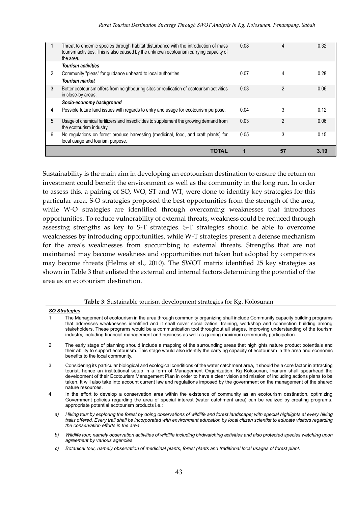|   | TOTAL                                                                                                                                                                                      |      | 57             | 3.19 |
|---|--------------------------------------------------------------------------------------------------------------------------------------------------------------------------------------------|------|----------------|------|
|   | local usage and tourism purpose.                                                                                                                                                           |      |                |      |
| 6 | No regulations on forest produce harvesting (medicinal, food, and craft plants) for                                                                                                        | 0.05 | 3              | 0.15 |
| 5 | Usage of chemical fertilizers and insecticides to supplement the growing demand from<br>the ecotourism industry.                                                                           | 0.03 | $\mathfrak{p}$ | 0.06 |
|   |                                                                                                                                                                                            |      |                |      |
| 4 | Possible future land issues with regards to entry and usage for ecotourism purpose.                                                                                                        | 0.04 | 3              | 0.12 |
|   | Socio-economy background                                                                                                                                                                   |      |                |      |
| 3 | Better ecotourism offers from neighbouring sites or replication of ecotourism activities<br>in close-by areas.                                                                             | 0.03 | 2              | 0.06 |
|   | <b>Tourism market</b>                                                                                                                                                                      |      |                |      |
| 2 | Community "pleas" for guidance unheard to local authorities.                                                                                                                               | 0.07 | 4              | 0.28 |
|   | <b>Tourism activities</b>                                                                                                                                                                  |      |                |      |
|   | Threat to endemic species through habitat disturbance with the introduction of mass<br>tourism activities. This is also caused by the unknown ecotourism carrying capacity of<br>the area. | 0.08 | 4              | 0.32 |
|   |                                                                                                                                                                                            |      |                |      |

Sustainability is the main aim in developing an ecotourism destination to ensure the return on investment could benefit the environment as well as the community in the long run. In order to assess this, a pairing of SO, WO, ST and WT, were done to identify key strategies for this particular area. S-O strategies proposed the best opportunities from the strength of the area, while W-O strategies are identified through overcoming weaknesses that introduces opportunities. To reduce vulnerability of external threats, weakness could be reduced through assessing strengths as key to S-T strategies. S-T strategies should be able to overcome weaknesses by introducing opportunities, while W-T strategies present a defense mechanism for the area's weaknesses from succumbing to external threats. Strengths that are not maintained may become weakness and opportunities not taken but adopted by competitors may become threats (Helms et al., 2010). The SWOT matrix identified 25 key strategies as shown in Table 3 that enlisted the external and internal factors determining the potential of the area as an ecotourism destination.

#### **Table 3**: Sustainable tourism development strategies for Kg. Kolosunan

|               | <b>SO Strategies</b>                                                                                                                                                                                                                                                                                                                                                                                                                                                                                                                              |
|---------------|---------------------------------------------------------------------------------------------------------------------------------------------------------------------------------------------------------------------------------------------------------------------------------------------------------------------------------------------------------------------------------------------------------------------------------------------------------------------------------------------------------------------------------------------------|
|               | The Management of ecotourism in the area through community organizing shall include Community capacity building programs<br>that addresses weaknesses identified and it shall cover socialization, training, workshop and connection building among<br>stakeholders. These programs would be a communication tool throughout all stages, improving understanding of the tourism<br>industry, including financial management and business as well as gaining maximum community participation.                                                      |
| $\mathcal{P}$ | The early stage of planning should include a mapping of the surrounding areas that highlights nature product potentials and<br>their ability to support ecotourism. This stage would also identify the carrying capacity of ecotourism in the area and economic<br>benefits to the local community.                                                                                                                                                                                                                                               |
| 3             | Considering its particular biological and ecological conditions of the water catchment area, it should be a core factor in attracting<br>tourist, hence an institutional setup in a form of Management Organization, Kg Kolosunan, Inanam shall spearhead the<br>development of their Ecotourism Management Plan in order to have a clear vision and mission of including actions plans to be<br>taken. It will also take into account current law and regulations imposed by the government on the management of the shared<br>nature resources. |
| 4             | In the effort to develop a conservation area within the existence of community as an ecotourism destination, optimizing<br>Government policies regarding the area of special interest (water catchment area) can be realized by creating programs,<br>appropriate potential ecotourism products i.e.:                                                                                                                                                                                                                                             |
| a)            | Hiking tour by exploring the forest by doing observations of wildlife and forest landscape; with special highlights at every hiking<br>trails offered. Every trail shall be incorporated with environment education by local citizen scientist to educate visitors regarding                                                                                                                                                                                                                                                                      |

- *b) Wildlife tour, namely observation activities of wildlife including birdwatching activities and also protected species watching upon agreement by various agencies*
- *c) Botanical tour, namely observation of medicinal plants, forest plants and traditional local usages of forest plant.*

*the conservation efforts in the area.*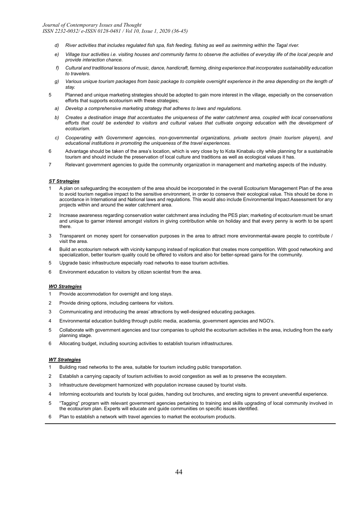- *d) River activities that includes regulated fish spa, fish feeding, fishing as well as swimming within the Tagal river.*
- *e) Village tour activities i.e. visiting houses and community farms to observe the activities of everyday life of the local people and provide interaction chance.*
- *f) Cultural and traditional lessons of music, dance, handicraft, farming, dining experience that incorporates sustainability education to travelers.*
- *g) Various unique tourism packages from basic package to complete overnight experience in the area depending on the length of stay.*
- 5 Planned and unique marketing strategies should be adopted to gain more interest in the village, especially on the conservation efforts that supports ecotourism with these strategies;
	- *a) Develop a comprehensive marketing strategy that adheres to laws and regulations.*
	- *b) Creates a destination image that accentuates the uniqueness of the water catchment area, coupled with local conservations*  efforts that could be extended to visitors and cultural values that cultivate ongoing education with the development of *ecotourism.*
	- *c) Cooperating with Government agencies, non-governmental organizations, private sectors (main tourism players), and educational institutions in promoting the uniqueness of the travel experiences.*
- 6 Advantage should be taken of the area's location, which is very close by to Kota Kinabalu city while planning for a sustainable tourism and should include the preservation of local culture and traditions as well as ecological values it has.
- 7 Relevant government agencies to guide the community organization in management and marketing aspects of the industry.

#### *ST Strategies*

- 1 A plan on safeguarding the ecosystem of the area should be incorporated in the overall Ecotourism Management Plan of the area to avoid tourism negative impact to the sensitive environment, in order to conserve their ecological value. This should be done in accordance in International and National laws and regulations. This would also include Environmental Impact Assessment for any projects within and around the water catchment area.
- 2 Increase awareness regarding conservation water catchment area including the PES plan; marketing of ecotourism must be smart and unique to garner interest amongst visitors in giving contribution while on holiday and that every penny is worth to be spent there.
- 3 Transparent on money spent for conservation purposes in the area to attract more environmental-aware people to contribute / visit the area.
- 4 Build an ecotourism network with vicinity kampung instead of replication that creates more competition. With good networking and specialization, better tourism quality could be offered to visitors and also for better-spread gains for the community.
- 5 Upgrade basic infrastructure especially road networks to ease tourism activities.
- 6 Environment education to visitors by citizen scientist from the area.

#### *WO Strategies*

- 1 Provide accommodation for overnight and long stays.
- 2 Provide dining options, including canteens for visitors.
- 3 Communicating and introducing the areas' attractions by well-designed educating packages.
- 4 Environmental education building through public media, academia, government agencies and NGO's.
- 5 Collaborate with government agencies and tour companies to uphold the ecotourism activities in the area, including from the early planning stage.
- 6 Allocating budget, including sourcing activities to establish tourism infrastructures.

#### *WT Strategies*

- 1 Building road networks to the area, suitable for tourism including public transportation.
- 2 Establish a carrying capacity of tourism activities to avoid congestion as well as to preserve the ecosystem.
- 3 Infrastructure development harmonized with population increase caused by tourist visits.
- 4 Informing ecotourists and tourists by local guides, handing out brochures, and erecting signs to prevent uneventful experience.
- 5 "Tagging" program with relevant government agencies pertaining to training and skills upgrading of local community involved in the ecotourism plan. Experts will educate and guide communities on specific issues identified.
- 6 Plan to establish a network with travel agencies to market the ecotourism products.